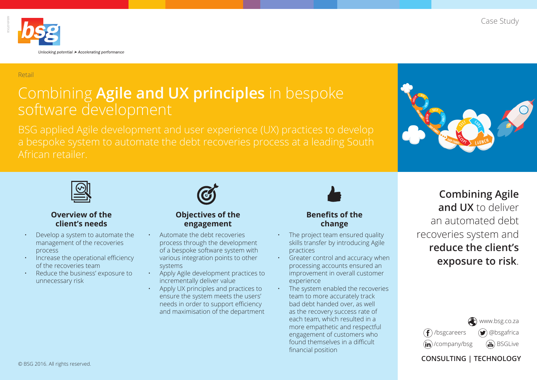

#### Retail

# Combining **Agile and UX principles** in bespoke software development





### **Overview of the client's needs**

- Develop a system to automate the management of the recoveries process
- Increase the operational efficiency of the recoveries team
- Reduce the business' exposure to unnecessary risk



### **Objectives of the engagement**

- Automate the debt recoveries process through the development of a bespoke software system with various integration points to other systems
- Apply Agile development practices to incrementally deliver value
- Apply UX principles and practices to ensure the system meets the users' needs in order to support efficiency and maximisation of the department



- The project team ensured quality skills transfer by introducing Agile practices
- Greater control and accuracy when processing accounts ensured an improvement in overall customer experience
- The system enabled the recoveries team to more accurately track bad debt handed over, as well as the recovery success rate of each team, which resulted in a more empathetic and respectful engagement of customers who found themselves in a difficult financial position

# **Combining Agile and UX** to deliver an automated debt recoveries system and **reduce the client's exposure to risk**.



**CONSULTING | TECHNOLOGY**